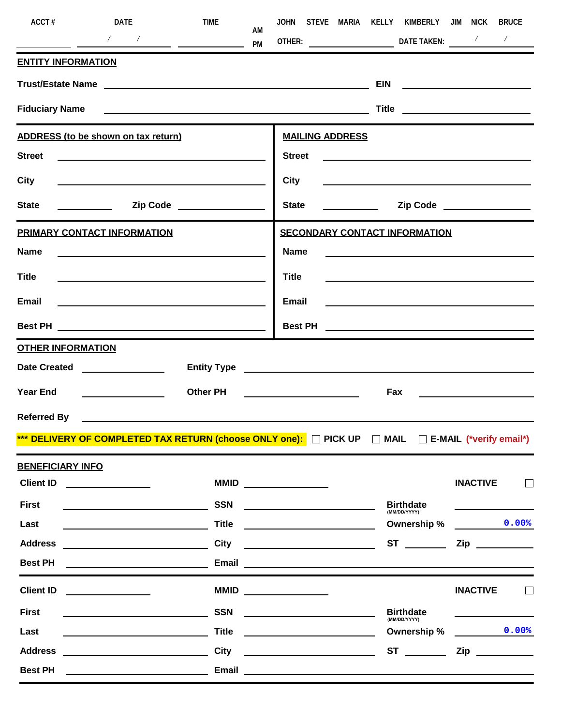| ACCT#                                                                                    | DATE                                                                                                                                                                                                                                 | TIME<br>AM                                                                                                                                                                                                                                                                                                                                                           |                                                                                                                                                                                                                                                                                                                                                                                                                                                                        | JOHN STEVE MARIA KELLY KIMBERLY JIM NICK                                                                             | <b>BRUCE</b>                                                                                     |
|------------------------------------------------------------------------------------------|--------------------------------------------------------------------------------------------------------------------------------------------------------------------------------------------------------------------------------------|----------------------------------------------------------------------------------------------------------------------------------------------------------------------------------------------------------------------------------------------------------------------------------------------------------------------------------------------------------------------|------------------------------------------------------------------------------------------------------------------------------------------------------------------------------------------------------------------------------------------------------------------------------------------------------------------------------------------------------------------------------------------------------------------------------------------------------------------------|----------------------------------------------------------------------------------------------------------------------|--------------------------------------------------------------------------------------------------|
| $\frac{1}{\sqrt{1-\frac{1}{2}}}\frac{1}{\sqrt{1-\frac{1}{2}}\left(1-\frac{1}{2}\right)}$ |                                                                                                                                                                                                                                      | $\frac{1}{\sqrt{2}}$ $\frac{1}{\sqrt{2}}$ $\frac{1}{\sqrt{2}}$ $\frac{1}{\sqrt{2}}$ $\frac{1}{\sqrt{2}}$ $\frac{1}{\sqrt{2}}$ $\frac{1}{\sqrt{2}}$ $\frac{1}{\sqrt{2}}$ $\frac{1}{\sqrt{2}}$ $\frac{1}{\sqrt{2}}$ $\frac{1}{\sqrt{2}}$ $\frac{1}{\sqrt{2}}$ $\frac{1}{\sqrt{2}}$ $\frac{1}{\sqrt{2}}$ $\frac{1}{\sqrt{2}}$ $\frac{1}{\sqrt{2}}$ $\frac{1}{\sqrt{2}}$ |                                                                                                                                                                                                                                                                                                                                                                                                                                                                        |                                                                                                                      |                                                                                                  |
| <b>ENTITY INFORMATION</b>                                                                |                                                                                                                                                                                                                                      |                                                                                                                                                                                                                                                                                                                                                                      |                                                                                                                                                                                                                                                                                                                                                                                                                                                                        |                                                                                                                      |                                                                                                  |
|                                                                                          |                                                                                                                                                                                                                                      |                                                                                                                                                                                                                                                                                                                                                                      |                                                                                                                                                                                                                                                                                                                                                                                                                                                                        |                                                                                                                      |                                                                                                  |
|                                                                                          |                                                                                                                                                                                                                                      | Fiduciary Name <b>Example 2018</b>                                                                                                                                                                                                                                                                                                                                   |                                                                                                                                                                                                                                                                                                                                                                                                                                                                        |                                                                                                                      | Title <u>________________________</u>                                                            |
|                                                                                          | ADDRESS (to be shown on tax return)                                                                                                                                                                                                  |                                                                                                                                                                                                                                                                                                                                                                      | <b>MAILING ADDRESS</b>                                                                                                                                                                                                                                                                                                                                                                                                                                                 |                                                                                                                      |                                                                                                  |
|                                                                                          |                                                                                                                                                                                                                                      |                                                                                                                                                                                                                                                                                                                                                                      |                                                                                                                                                                                                                                                                                                                                                                                                                                                                        | Street <u>example and the street</u>                                                                                 |                                                                                                  |
| City                                                                                     |                                                                                                                                                                                                                                      | <u> 1990 - Johann Barbara, martin amerikan basal dan berasal dan berasal dalam basal dalam basal dalam basal dala</u>                                                                                                                                                                                                                                                | City                                                                                                                                                                                                                                                                                                                                                                                                                                                                   | <u> 1989 - Johann John Stein, fransk politik (d. 1989)</u>                                                           |                                                                                                  |
| <b>State</b>                                                                             |                                                                                                                                                                                                                                      |                                                                                                                                                                                                                                                                                                                                                                      | <b>State</b>                                                                                                                                                                                                                                                                                                                                                                                                                                                           |                                                                                                                      | Zip Code ________________                                                                        |
|                                                                                          | PRIMARY CONTACT INFORMATION                                                                                                                                                                                                          |                                                                                                                                                                                                                                                                                                                                                                      |                                                                                                                                                                                                                                                                                                                                                                                                                                                                        | <b>SECONDARY CONTACT INFORMATION</b>                                                                                 |                                                                                                  |
| <b>Name</b>                                                                              |                                                                                                                                                                                                                                      |                                                                                                                                                                                                                                                                                                                                                                      | <b>Name</b>                                                                                                                                                                                                                                                                                                                                                                                                                                                            | <u> 1989 - Johann Barbara, martin amerikan ba</u>                                                                    |                                                                                                  |
| <b>Title</b>                                                                             |                                                                                                                                                                                                                                      | <u> 1989 - Johann Barbara, martin amerikan basal dan berasal dan berasal dalam basal dan berasal dan berasal dan</u>                                                                                                                                                                                                                                                 | <b>Title</b>                                                                                                                                                                                                                                                                                                                                                                                                                                                           | <u> 1989 - Johann Barnett, fransk politiker (d. 1989)</u>                                                            |                                                                                                  |
| Email                                                                                    |                                                                                                                                                                                                                                      | <u> 1989 - Johann Barnett, fransk politik (d. 1989)</u>                                                                                                                                                                                                                                                                                                              | <b>Email</b>                                                                                                                                                                                                                                                                                                                                                                                                                                                           | <u> 1980 - Johann Barn, mars ann an t-Amhain Aonaich an t-Aonaich an t-Aonaich ann an t-Aonaich ann an t-Aonaich</u> |                                                                                                  |
|                                                                                          |                                                                                                                                                                                                                                      |                                                                                                                                                                                                                                                                                                                                                                      |                                                                                                                                                                                                                                                                                                                                                                                                                                                                        |                                                                                                                      |                                                                                                  |
| <b>OTHER INFORMATION</b>                                                                 |                                                                                                                                                                                                                                      |                                                                                                                                                                                                                                                                                                                                                                      |                                                                                                                                                                                                                                                                                                                                                                                                                                                                        |                                                                                                                      |                                                                                                  |
|                                                                                          | Date Created <b>National Created</b>                                                                                                                                                                                                 |                                                                                                                                                                                                                                                                                                                                                                      |                                                                                                                                                                                                                                                                                                                                                                                                                                                                        |                                                                                                                      |                                                                                                  |
| <b>Year End</b>                                                                          |                                                                                                                                                                                                                                      | Other PH                                                                                                                                                                                                                                                                                                                                                             | <u> 1990 - Johann Barbara, martin a</u>                                                                                                                                                                                                                                                                                                                                                                                                                                | Fax                                                                                                                  |                                                                                                  |
|                                                                                          |                                                                                                                                                                                                                                      |                                                                                                                                                                                                                                                                                                                                                                      |                                                                                                                                                                                                                                                                                                                                                                                                                                                                        |                                                                                                                      |                                                                                                  |
|                                                                                          |                                                                                                                                                                                                                                      |                                                                                                                                                                                                                                                                                                                                                                      |                                                                                                                                                                                                                                                                                                                                                                                                                                                                        | *** DELIVERY OF COMPLETED TAX RETURN (choose ONLY one): D PICK UP D MAIL D E-MAIL (*verify email*)                   |                                                                                                  |
| <b>BENEFICIARY INFO</b>                                                                  |                                                                                                                                                                                                                                      |                                                                                                                                                                                                                                                                                                                                                                      |                                                                                                                                                                                                                                                                                                                                                                                                                                                                        |                                                                                                                      |                                                                                                  |
| <b>Client ID</b>                                                                         | <u> 1980 - Jan Barbara Barat, prima politik (</u>                                                                                                                                                                                    |                                                                                                                                                                                                                                                                                                                                                                      | $MMD \qquad \qquad \qquad \qquad \qquad$                                                                                                                                                                                                                                                                                                                                                                                                                               |                                                                                                                      | <b>INACTIVE</b>                                                                                  |
| <b>First</b>                                                                             | <u> 1989 - Johann Barn, amerikansk politiker (</u>                                                                                                                                                                                   | <b>SSN</b>                                                                                                                                                                                                                                                                                                                                                           | <u> 2002 - Jan James Barnett, fizik eta idazlea (</u>                                                                                                                                                                                                                                                                                                                                                                                                                  | <b>Birthdate</b><br>(MM/DD/YYYY)                                                                                     |                                                                                                  |
| Last                                                                                     |                                                                                                                                                                                                                                      | <b>Title</b>                                                                                                                                                                                                                                                                                                                                                         | <u> 1990 - Johann Barbara, martin a</u>                                                                                                                                                                                                                                                                                                                                                                                                                                |                                                                                                                      | Ownership % 0.00%                                                                                |
| <b>Address</b>                                                                           | <u>and the contract of the contract of the contract of the contract of the contract of the contract of the contract of the contract of the contract of the contract of the contract of the contract of the contract of the contr</u> | <b>City</b>                                                                                                                                                                                                                                                                                                                                                          | <u> 1990 - John Stein, Amerikaansk politiker (</u>                                                                                                                                                                                                                                                                                                                                                                                                                     |                                                                                                                      | Zip                                                                                              |
| <b>Best PH</b>                                                                           |                                                                                                                                                                                                                                      |                                                                                                                                                                                                                                                                                                                                                                      |                                                                                                                                                                                                                                                                                                                                                                                                                                                                        |                                                                                                                      |                                                                                                  |
| <b>Client ID</b>                                                                         | <u> 1980 - Jan Samuel Barbara, politik e</u> ta p                                                                                                                                                                                    |                                                                                                                                                                                                                                                                                                                                                                      | $MMD \begin{tabular}{c} \multicolumn{2}{c }{\textbf{MMD}}\\ \hline \multicolumn{2}{c }{\textbf{MMD}}\\ \hline \multicolumn{2}{c }{\textbf{MMD}}\\ \hline \multicolumn{2}{c }{\textbf{MMD}}\\ \hline \multicolumn{2}{c }{\textbf{MMD}}\\ \hline \multicolumn{2}{c }{\textbf{MMD}}\\ \hline \multicolumn{2}{c }{\textbf{MMD}}\\ \hline \multicolumn{2}{c }{\textbf{MMD}}\\ \hline \multicolumn{2}{c }{\textbf{MMD}}\\ \hline \multicolumn{2}{c }{\textbf{MMD}}\\ \hline$ |                                                                                                                      | <b>INACTIVE</b>                                                                                  |
| <b>First</b>                                                                             |                                                                                                                                                                                                                                      | <b>SSN</b>                                                                                                                                                                                                                                                                                                                                                           | <u> 1989 - Jan Sterling Start, fransk politik (d. 1989)</u>                                                                                                                                                                                                                                                                                                                                                                                                            | <b>Birthdate</b><br>(MM/DD/YYYY)                                                                                     |                                                                                                  |
| Last                                                                                     |                                                                                                                                                                                                                                      | <b>Title</b>                                                                                                                                                                                                                                                                                                                                                         | <u> 1989 - Johann Barnett, fransk politik (</u>                                                                                                                                                                                                                                                                                                                                                                                                                        | Ownership %                                                                                                          | 0.00%<br>$\mathcal{L}^{\text{max}}_{\text{max}}$ , where $\mathcal{L}^{\text{max}}_{\text{max}}$ |
|                                                                                          |                                                                                                                                                                                                                                      | <b>City</b>                                                                                                                                                                                                                                                                                                                                                          | <u> 2008 - Andrea Albert III, am bhliain 1976 - An t-Aontaithe ann an t-Aontaithe ann an t-Aontaithe ann an t-Aon</u>                                                                                                                                                                                                                                                                                                                                                  |                                                                                                                      | Zip                                                                                              |
| <b>Best PH</b>                                                                           |                                                                                                                                                                                                                                      |                                                                                                                                                                                                                                                                                                                                                                      |                                                                                                                                                                                                                                                                                                                                                                                                                                                                        |                                                                                                                      |                                                                                                  |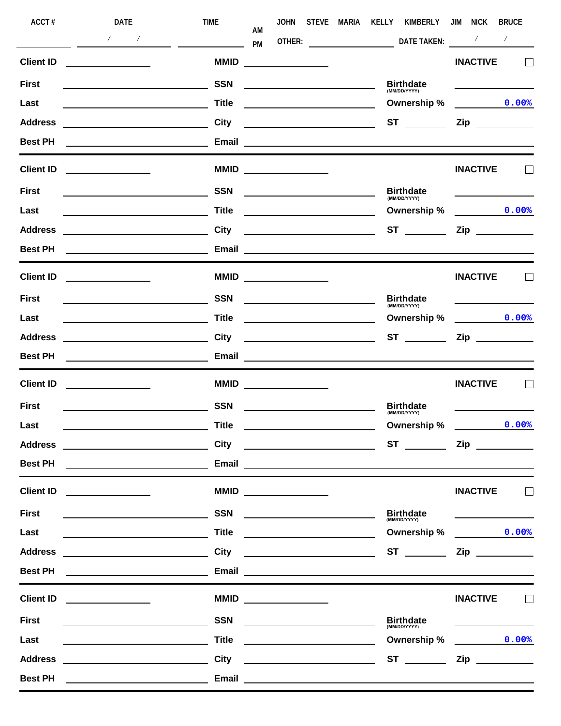| ACCT#            | DATE                                                                                                                                                                                                                                 | <b>TIME</b>                        | <b>JOHN</b><br>AM                                                                                                                                                                                                                                                                                                                                                                                                                                                      | STEVE MARIA | KELLY<br>KIMBERLY                                                                                                   | JIM<br><b>NICK</b>                                                                                                                   | <b>BRUCE</b>             |
|------------------|--------------------------------------------------------------------------------------------------------------------------------------------------------------------------------------------------------------------------------------|------------------------------------|------------------------------------------------------------------------------------------------------------------------------------------------------------------------------------------------------------------------------------------------------------------------------------------------------------------------------------------------------------------------------------------------------------------------------------------------------------------------|-------------|---------------------------------------------------------------------------------------------------------------------|--------------------------------------------------------------------------------------------------------------------------------------|--------------------------|
|                  | $\frac{1}{\sqrt{2}}$                                                                                                                                                                                                                 | <u>  La Carlo Carlo III (m. 18</u> | PM                                                                                                                                                                                                                                                                                                                                                                                                                                                                     |             | <b>DATE TAKEN:</b>                                                                                                  | $\sqrt{2}$                                                                                                                           | $\overline{\phantom{a}}$ |
| <b>Client ID</b> | <u> 1990 - Johann Barbara, martin a</u>                                                                                                                                                                                              | <b>MMID</b>                        | <u> 1999 - Johann Barbara, politik eta politik eta politik eta politik eta politik eta politik eta politik eta p</u>                                                                                                                                                                                                                                                                                                                                                   |             |                                                                                                                     | <b>INACTIVE</b>                                                                                                                      |                          |
| <b>First</b>     | <u> 1989 - Johann Barbara, martin amerikan basal da</u>                                                                                                                                                                              | <b>SSN</b>                         |                                                                                                                                                                                                                                                                                                                                                                                                                                                                        |             | Birthdate                                                                                                           |                                                                                                                                      |                          |
| Last             | <u> 1989 - Johann Barbara, martin amerikan per</u>                                                                                                                                                                                   | <b>Title</b>                       | <u> 1990 - Johann Barbara, martin amerikan basal da</u>                                                                                                                                                                                                                                                                                                                                                                                                                |             | Ownership %                                                                                                         | $\overline{0.008}$                                                                                                                   |                          |
| <b>Address</b>   |                                                                                                                                                                                                                                      | <b>City</b>                        | <u> 1980 - Johann Barbara, martin a</u>                                                                                                                                                                                                                                                                                                                                                                                                                                |             |                                                                                                                     |                                                                                                                                      |                          |
| <b>Best PH</b>   |                                                                                                                                                                                                                                      |                                    |                                                                                                                                                                                                                                                                                                                                                                                                                                                                        |             |                                                                                                                     |                                                                                                                                      |                          |
| <b>Client ID</b> | <u> 1989 - Jan Stein Stein Stein Stein Stein Stein Stein Stein Stein Stein Stein Stein Stein Stein Stein Stein S</u>                                                                                                                 |                                    | $MMD \begin{tabular}{c} \multicolumn{2}{c} {\textbf{0.002}} \end{tabular}$                                                                                                                                                                                                                                                                                                                                                                                             |             |                                                                                                                     | <b>INACTIVE</b>                                                                                                                      |                          |
| <b>First</b>     | <u> 1989 - Johann Barn, mars and de Brasilian (b. 1989)</u>                                                                                                                                                                          | <b>SSN</b>                         | <u> 1989 - Johann Barbara, martin a</u>                                                                                                                                                                                                                                                                                                                                                                                                                                |             | <b>Birthdate</b><br>(MM/DD/YYYY)                                                                                    |                                                                                                                                      |                          |
| Last             |                                                                                                                                                                                                                                      | <b>Title</b>                       | <u>and the contract of the contract of the contract of the contract of the contract of the contract of the contract of the contract of the contract of the contract of the contract of the contract of the contract of the contr</u>                                                                                                                                                                                                                                   |             | Ownership %                                                                                                         | 0.00%                                                                                                                                |                          |
| <b>Address</b>   | <u> 1980 - Johann Barbara, martin amerikan basar da</u>                                                                                                                                                                              | <b>City</b>                        | <u> 1989 - Johann Barbara, martin a</u>                                                                                                                                                                                                                                                                                                                                                                                                                                |             |                                                                                                                     |                                                                                                                                      |                          |
| <b>Best PH</b>   |                                                                                                                                                                                                                                      | Email                              |                                                                                                                                                                                                                                                                                                                                                                                                                                                                        |             | <u> 1989 - Johann Barbara, martxa alemaniar amerikan a</u>                                                          |                                                                                                                                      |                          |
| <b>Client ID</b> |                                                                                                                                                                                                                                      |                                    | $MMD \begin{tabular}{c} \multicolumn{2}{c} {\textbf{0.002}} \end{tabular}$                                                                                                                                                                                                                                                                                                                                                                                             |             |                                                                                                                     | <b>INACTIVE</b>                                                                                                                      |                          |
| <b>First</b>     |                                                                                                                                                                                                                                      | <b>SSN</b>                         | the contract of the contract of the contract of the contract of the contract of                                                                                                                                                                                                                                                                                                                                                                                        |             | <b>Birthdate</b><br>(MM/DD/YYYY)                                                                                    |                                                                                                                                      |                          |
| Last             |                                                                                                                                                                                                                                      | <b>Title</b>                       | <u> 1989 - Johann Barbara, martin a</u>                                                                                                                                                                                                                                                                                                                                                                                                                                |             | Ownership %                                                                                                         | 0.00%                                                                                                                                |                          |
| <b>Address</b>   |                                                                                                                                                                                                                                      | City                               |                                                                                                                                                                                                                                                                                                                                                                                                                                                                        |             |                                                                                                                     | $\mathsf{Zip}$                                                                                                                       |                          |
| <b>Best PH</b>   |                                                                                                                                                                                                                                      |                                    |                                                                                                                                                                                                                                                                                                                                                                                                                                                                        |             |                                                                                                                     |                                                                                                                                      |                          |
| <b>Client ID</b> | <u> 1989 - Andrea Andrew Maria III, poet</u>                                                                                                                                                                                         |                                    | $MMD \begin{tabular}{c} \multicolumn{2}{c} {\textbf{0.002}} \end{tabular}$                                                                                                                                                                                                                                                                                                                                                                                             |             |                                                                                                                     | <b>INACTIVE</b>                                                                                                                      |                          |
| <b>First</b>     |                                                                                                                                                                                                                                      | <b>SSN</b>                         |                                                                                                                                                                                                                                                                                                                                                                                                                                                                        |             | <b>Birthdate</b><br>(MM/DD/YYYY)                                                                                    |                                                                                                                                      |                          |
| Last             |                                                                                                                                                                                                                                      | <b>Title</b>                       |                                                                                                                                                                                                                                                                                                                                                                                                                                                                        |             | Ownership %                                                                                                         |                                                                                                                                      | 0.00%                    |
| <b>Address</b>   |                                                                                                                                                                                                                                      | <b>City</b>                        |                                                                                                                                                                                                                                                                                                                                                                                                                                                                        |             | <b>ST</b>                                                                                                           |                                                                                                                                      |                          |
| <b>Best PH</b>   |                                                                                                                                                                                                                                      | Email                              |                                                                                                                                                                                                                                                                                                                                                                                                                                                                        |             | <u> 1980 - John Stein, markin sanat markin sa masa sa sanat na markin sa markin sa markin sa markin sa sa sa sa</u> |                                                                                                                                      |                          |
| <b>Client ID</b> |                                                                                                                                                                                                                                      |                                    | $MMD \begin{tabular}{c} \multicolumn{2}{c }{\textbf{MMD}}\\ \hline \multicolumn{2}{c }{\textbf{MMD}}\\ \hline \multicolumn{2}{c }{\textbf{MMD}}\\ \hline \multicolumn{2}{c }{\textbf{MMD}}\\ \hline \multicolumn{2}{c }{\textbf{MMD}}\\ \hline \multicolumn{2}{c }{\textbf{MMD}}\\ \hline \multicolumn{2}{c }{\textbf{MMD}}\\ \hline \multicolumn{2}{c }{\textbf{MMD}}\\ \hline \multicolumn{2}{c }{\textbf{MMD}}\\ \hline \multicolumn{2}{c }{\textbf{MMD}}\\ \hline$ |             |                                                                                                                     | <b>INACTIVE</b>                                                                                                                      |                          |
| <b>First</b>     |                                                                                                                                                                                                                                      | <b>SSN</b>                         |                                                                                                                                                                                                                                                                                                                                                                                                                                                                        |             | <b>Birthdate</b><br>(MM/DD/YYYY)                                                                                    |                                                                                                                                      |                          |
| Last             |                                                                                                                                                                                                                                      | <b>Title</b>                       | <u> 1989 - Johann Barbara, martin a</u>                                                                                                                                                                                                                                                                                                                                                                                                                                |             | Ownership %                                                                                                         | 0.00%                                                                                                                                |                          |
| <b>Address</b>   | <u> 1980 - Johann Barbara, martxa amerikan per</u>                                                                                                                                                                                   | <b>City</b>                        |                                                                                                                                                                                                                                                                                                                                                                                                                                                                        |             | $ST \_\_$                                                                                                           |                                                                                                                                      |                          |
| <b>Best PH</b>   |                                                                                                                                                                                                                                      |                                    |                                                                                                                                                                                                                                                                                                                                                                                                                                                                        |             | Email <u>Communication of the Communication of the Communication of the Communication</u>                           |                                                                                                                                      |                          |
| <b>Client ID</b> | <u> 1990 - Johann Barbara, martin a</u>                                                                                                                                                                                              |                                    | $MMD \begin{tabular}{c} \multicolumn{2}{c} {\textbf{0.002}} \end{tabular}$                                                                                                                                                                                                                                                                                                                                                                                             |             |                                                                                                                     | <b>INACTIVE</b>                                                                                                                      |                          |
| <b>First</b>     |                                                                                                                                                                                                                                      | <b>SSN</b>                         | <u> 1989 - Johann Barbara, martxa alemaniar a</u>                                                                                                                                                                                                                                                                                                                                                                                                                      |             | Birthdate                                                                                                           |                                                                                                                                      |                          |
| Last             |                                                                                                                                                                                                                                      | <b>Title</b>                       |                                                                                                                                                                                                                                                                                                                                                                                                                                                                        |             | Ownership %                                                                                                         | $\begin{array}{c} \begin{array}{c} \begin{array}{c} \begin{array}{c} \end{array} \\ \end{array} \end{array} \end{array} \end{array}$ | 0.00%                    |
| <b>Address</b>   | <u>and the contract of the contract of the contract of the contract of the contract of the contract of the contract of the contract of the contract of the contract of the contract of the contract of the contract of the contr</u> | <b>City</b>                        |                                                                                                                                                                                                                                                                                                                                                                                                                                                                        |             |                                                                                                                     |                                                                                                                                      |                          |
| <b>Best PH</b>   |                                                                                                                                                                                                                                      |                                    | Email et al. 2010 and 2010 and 2010 and 2010 and 2010 and 2010 and 2010 and 2010 and 2010 and 2010 and 2010 and                                                                                                                                                                                                                                                                                                                                                        |             |                                                                                                                     |                                                                                                                                      |                          |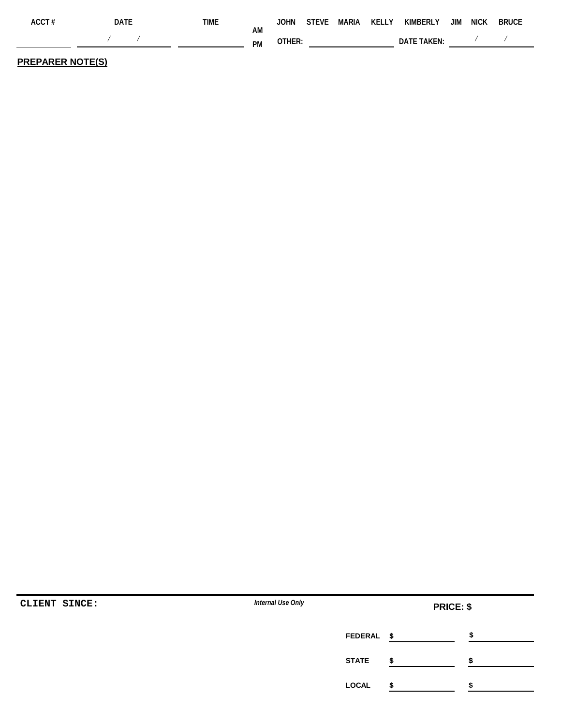| ACCT# | date | TIME. |          | <b>JOHN</b> |  | STEVE MARIA KELLY KIMBERLY JIM NICK |  | <b>BRUCE</b> |
|-------|------|-------|----------|-------------|--|-------------------------------------|--|--------------|
|       |      |       | ΑM<br>PM | OTHER:      |  | DATE TAKEN:                         |  |              |
|       |      |       |          |             |  |                                     |  |              |

## **PREPARER NOTE(S)**

| CLIENT SINCE: | Internal Use Only |                                | <b>PRICE: \$</b> |
|---------------|-------------------|--------------------------------|------------------|
|               |                   | <b>FEDERAL</b><br>$\mathbf{s}$ |                  |
|               | <b>STATE</b>      |                                |                  |
|               | <b>LOCAL</b>      |                                |                  |